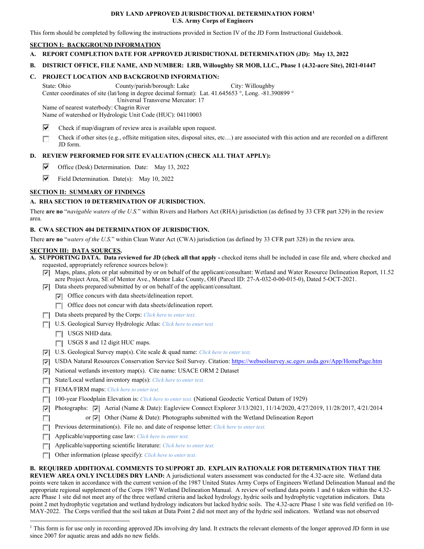### **DRY LAND APPROVED JURISDICTIONAL DETERMINATION FORM[1](#page-0-0) U.S. Army Corps of Engineers**

This form should be completed by following the instructions provided in Section IV of the JD Form Instructional Guidebook.

## **SECTION I: BACKGROUND INFORMATION**

**A. REPORT COMPLETION DATE FOR APPROVED JURISDICTIONAL DETERMINATION (JD): May 13, 2022**

## **B. DISTRICT OFFICE, FILE NAME, AND NUMBER: LRB, Willoughby SR MOB, LLC., Phase 1 (4.32-acre Site), 2021-01447**

## **C. PROJECT LOCATION AND BACKGROUND INFORMATION:**

State: Ohio County/parish/borough: Lake City: Willoughby Center coordinates of site (lat/long in degree decimal format): Lat. 41.645653 °, Long. -81.390899 °

Universal Transverse Mercator: 17

Name of nearest waterbody: Chagrin River

Name of watershed or Hydrologic Unit Code (HUC): 04110003

- ⊽ Check if map/diagram of review area is available upon request.
- Check if other sites (e.g., offsite mitigation sites, disposal sites, etc…) are associated with this action and are recorded on a different Е JD form.

# **D. REVIEW PERFORMED FOR SITE EVALUATION (CHECK ALL THAT APPLY):**

- ⊽ Office (Desk) Determination. Date: May 13, 2022
- ⊽ Field Determination. Date(s): May 10, 2022

# **SECTION II: SUMMARY OF FINDINGS**

## **A. RHA SECTION 10 DETERMINATION OF JURISDICTION.**

There **are no** "*navigable waters of the U.S.*" within Rivers and Harbors Act (RHA) jurisdiction (as defined by 33 CFR part 329) in the review area.

## **B. CWA SECTION 404 DETERMINATION OF JURISDICTION.**

There **are no** "*waters of the U.S.*" within Clean Water Act (CWA) jurisdiction (as defined by 33 CFR part 328) in the review area.

### **SECTION III: DATA SOURCES.**

**A. SUPPORTING DATA. Data reviewed for JD (check all that apply -** checked items shall be included in case file and, where checked and requested, appropriately reference sources below):

 $\nabla$  Maps, plans, plots or plat submitted by or on behalf of the applicant/consultant: Wetland and Water Resource Delineation Report, 11.52 acre Project Area, SE of Mentor Ave., Mentor Lake County, OH (Parcel ID: 27-A-032-0-00-015-0), Dated 5-OCT-2021.

Data sheets prepared/submitted by or on behalf of the applicant/consultant.

 $\triangledown$  Office concurs with data sheets/delineation report.

- Office does not concur with data sheets/delineation report.
- Data sheets prepared by the Corps: *Click here to enter text.*
- U.S. Geological Survey Hydrologic Atlas: *Click here to enter text.*
	- USGS NHD data.

 $\sim$ 

- USGS 8 and 12 digit HUC maps.
- U.S. Geological Survey map(s). Cite scale & quad name: *Click here to enter text.*
- **V** USDA Natural Resources Conservation Service Soil Survey. Citation: <https://websoilsurvey.sc.egov.usda.gov/App/HomePage.htm>
- $\triangledown$  National wetlands inventory map(s). Cite name: USACE ORM 2 Dataset
- State/Local wetland inventory map(s): *Click here to enter text.*
- FEMA/FIRM maps: *Click here to enter text*.
- 100-year Floodplain Elevation is: *Click here to enter text.* (National Geodectic Vertical Datum of 1929)
- Photographs:  $\blacktriangleright$  Aerial (Name & Date): Eagleview Connect Explorer 3/13/2021, 11/14/2020, 4/27/2019, 11/28/2017, 4/21/2014
	- or  $\triangledown$  Other (Name & Date): Photographs submitted with the Wetland Delineation Report
- **Previous determination(s). File no. and date of response letter:** *Click here to enter text.*
- Applicable/supporting case law: *Click here to enter text.*
- Applicable/supporting scientific literature: *Click here to enter text.*
- Other information (please specify): *Click here to enter text.*

### **B. REQUIRED ADDITIONAL COMMENTS TO SUPPORT JD. EXPLAIN RATIONALE FOR DETERMINATION THAT THE**

**REVIEW AREA ONLY INCLUDES DRY LAND:** A jurisdictional waters assessment was conducted for the 4.32-acre site. Wetland data points were taken in accordance with the current version of the 1987 United States Army Corps of Engineers Wetland Delineation Manual and the appropriate regional supplement of the Corps 1987 Wetland Delineation Manual. A review of wetland data points 1 and 6 taken within the 4.32 acre Phase 1 site did not meet any of the three wetland criteria and lacked hydrology, hydric soils and hydrophytic vegetation indicators. Data point 2 met hydrophytic vegetation and wetland hydrology indicators but lacked hydric soils. The 4.32-acre Phase 1 site was field verified on 10- MAY-2022. The Corps verified that the soil taken at Data Point 2 did not meet any of the hydric soil indicators. Wetland was not observed

<span id="page-0-0"></span><sup>&</sup>lt;sup>1</sup> This form is for use only in recording approved JDs involving dry land. It extracts the relevant elements of the longer approved JD form in use since 2007 for aquatic areas and adds no new fields.